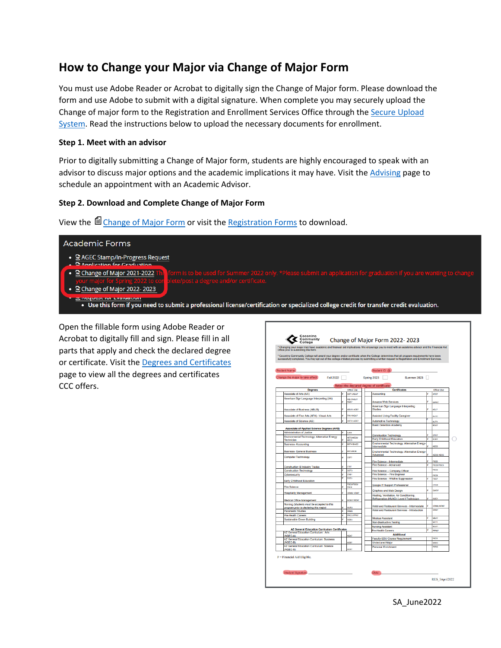# **How to Change your Major via Change of Major Form**

You must use Adobe Reader or Acrobat to digitally sign the Change of Major form. Please download the form and use Adobe to submit with a digital signature. When complete you may securely upload the Change of major form to the Registration and Enrollment Services Office through the [Secure Upload](https://upload.coconino.edu/sites/registration/Lists/Registration%20Secure%20Upload%20Form/NewForm.aspx)  [System.](https://upload.coconino.edu/sites/registration/Lists/Registration%20Secure%20Upload%20Form/NewForm.aspx) Read the instructions below to upload the necessary documents for enrollment.

### **Step 1. Meet with an advisor**

Prior to digitally submitting a Change of Major form, students are highly encouraged to speak with an advisor to discuss major options and the academic implications it may have. Visit the [Advising](http://www.coconino.edu/advising) page to schedule an appointment with an Academic Advisor.

### **Step 2. Download and Complete Change of Major Form**

View the  $\blacksquare$  [Change of Major Form](https://www.coconino.edu/resources/files/pdfs/registration/forms/change_of_major_2022-23_april2022.pdf) or visit the [Registration Forms](https://www.coconino.edu/registration-forms) to download.

## **Academic Forms** 윤 AGEC Stamp/In-Progress Request plication for Craduatio • **E** Change of Major 2021-2022 • se Change of Major 2022- 2023 facər ini Examation Use this form if you need to submit a professional license/certification or specialized college credit for transfer credit evaluation.

Open the fillable form using Adobe Reader or Acrobat to digitally fill and sign. Please fill in all parts that apply and check the declared degree or certificate. Visit th[e Degrees and Certificates](https://www.coconino.edu/degrees-and-certificates) page to view all the degrees and certificates CCC offers.

| <b>Student Name:</b><br>Change the major to take effect:<br>Fall 2022                               |   |                                |                                                                                     |                                 |
|-----------------------------------------------------------------------------------------------------|---|--------------------------------|-------------------------------------------------------------------------------------|---------------------------------|
|                                                                                                     |   |                                | Student ID: @                                                                       |                                 |
|                                                                                                     |   |                                | Spring 2023<br>Summer 2023                                                          |                                 |
|                                                                                                     |   |                                | Select the declared degree of certificate                                           |                                 |
| <b>Degrees</b>                                                                                      |   | Office Lise                    | <b>Certificates</b>                                                                 | Office Lise                     |
| <b>Associate of Arts (AA)</b>                                                                       |   | GST1/AGA7                      | Accounting                                                                          | ATC7                            |
| American Sign Language Interpreting (AA)                                                            |   | <b>ASL1/ASL7/</b><br>AGA7      | Amazon Web Services                                                                 | wsc                             |
| <b>Associate of Business (ABUS)</b>                                                                 | ċ | <b>LRI IR/ AGR7</b>            | American Sign Language Interpreting<br><b>Studies</b>                               | 69.7                            |
| Associate of Fine Arts (AFA) - Visual Arts                                                          | F | FAV1/AGA7                      | <b>Assisted Living Facility Caregiver</b>                                           | <b>LCC</b>                      |
| Associate of Science (AS)                                                                           |   | GST2/AGS7                      | <b>Automotive Technology</b>                                                        | <b>MIT1</b>                     |
|                                                                                                     |   |                                | <b>Basic Detention Academy</b>                                                      | ROA7                            |
| <b>Associate of Applied Science Degrees (AAS)</b>                                                   |   |                                |                                                                                     |                                 |
| <b>Administration of Justice</b>                                                                    |   | A.JSS                          | <b>Construction Technology</b>                                                      | CTC7                            |
| Environmental Technology: Alternative Energy<br>Technician                                          |   | <b>AETMADOW</b><br><b>AFCS</b> | <b>Early Childhood Education</b>                                                    | COET                            |
| <b>Business-Accounting</b>                                                                          | ċ | BST4/BACC                      | Environmental Technology: Alternative Energy-                                       |                                 |
|                                                                                                     |   |                                | Intermediate                                                                        | <b>AECS</b>                     |
| <b>Business- General Business</b>                                                                   |   | <b>RRTAIROR</b>                | Environmental Technology: Alternative Energy-<br>Advanced                           | <b>AEC6/ AECS</b>               |
| <b>Computer Technology</b>                                                                          | p | CRET                           |                                                                                     |                                 |
|                                                                                                     |   |                                | Fire Science - Intermediate<br>Fire Science - Advanced                              | <b>FROS</b><br><b>FROM FROS</b> |
| <b>Construction &amp; Industry Trades</b>                                                           | E | <b>CTIT</b><br><b>COTS</b>     |                                                                                     | <b>FSCS</b>                     |
| <b>Construction Technology</b><br>Cybersecurity                                                     |   | CVRS                           | Fire Science - Company Officer<br>Fire Science - Fire Engineer                      |                                 |
|                                                                                                     |   | <b>FOE3</b>                    | Fire Science - Wildfire Suppression                                                 | <b>FSC8</b><br>6907             |
| Early Childhood Education                                                                           |   | <b>FRONTRON</b>                |                                                                                     |                                 |
| <b>Fire Science</b>                                                                                 |   | FSC6                           | Google IT Support Professional                                                      | <b>CTGS</b>                     |
| <b>Hospitality Management</b>                                                                       | ċ | <b>IRMS/HRM7</b>               | <b>Graphics and Web Design</b>                                                      | <b>GWDZ</b>                     |
| Medical Office Management                                                                           | ċ | MOM1/MEA7                      | Heating, Ventilation, Air Conditioning,<br>Refrigeration (HVACr) Level I Technician | <b>HVC1</b>                     |
| Nursing (students must be accepted to this                                                          |   |                                |                                                                                     |                                 |
| program prior to declaring this major)                                                              |   | a iek                          | Hotel and Restaurant Services - Intermediate                                        | HRMB.HRM7<br>HRMZ               |
| <b>Paramedic Studies</b>                                                                            |   | PRM3                           | <b>Hotel and Restaurant Services - Introduction</b>                                 |                                 |
| <b>Pre-Health Careers</b>                                                                           | p | PHCS/PPN7                      | Medical Assistant                                                                   | MEA)                            |
| Sustainable Green Building                                                                          |   | sces                           | <b>Non-Destructive Testing</b>                                                      | <b>NDT1</b>                     |
|                                                                                                     |   |                                | <b>Nursing Assistant</b>                                                            | <b>MELAK</b>                    |
| <b>AZ General Education Curriculum Certificates</b><br><b>AZ General Education Curriculum: Arts</b> |   |                                | Pre-Health Careers                                                                  | <b>DOM/T</b>                    |
| (AGEC-A)                                                                                            |   | <b>MOAT</b>                    | <b>Additional</b>                                                                   |                                 |
| AZ General Education Curriculum: Business                                                           |   |                                | Faculty-EDU Course Requirement                                                      | <b>FED1</b>                     |
| (AGEC-B)                                                                                            |   | <b>LOR?</b>                    | <b>Undeclared Major</b><br>Personal Enrichment                                      | <b>MRDC</b><br><b>PERS</b>      |
| AZ General Education Curriculum: Science                                                            |   |                                |                                                                                     |                                 |